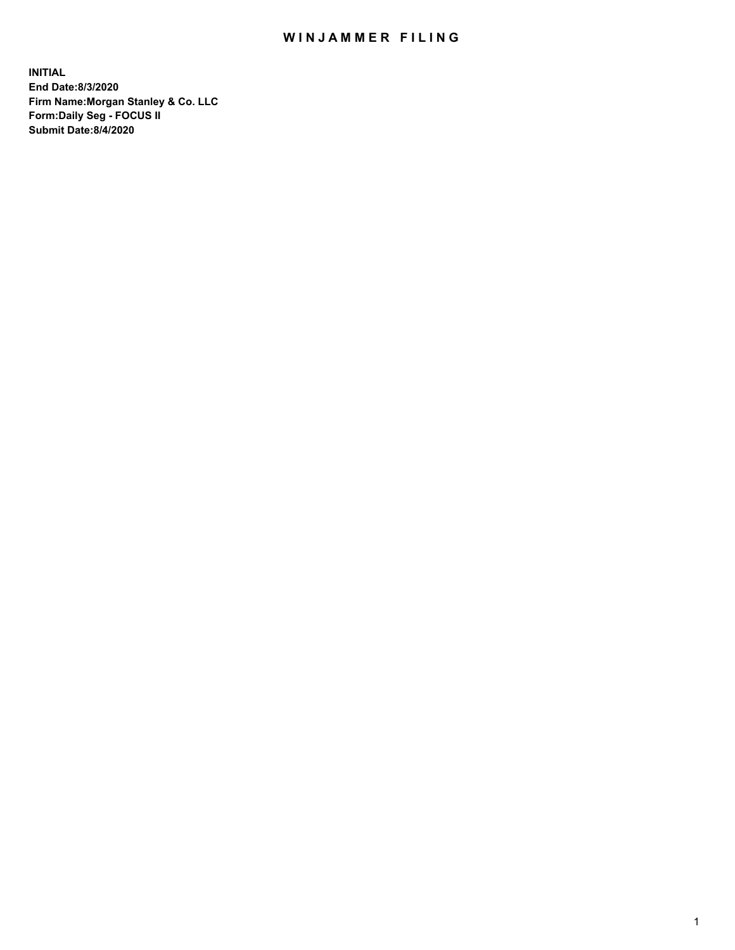## WIN JAMMER FILING

**INITIAL End Date:8/3/2020 Firm Name:Morgan Stanley & Co. LLC Form:Daily Seg - FOCUS II Submit Date:8/4/2020**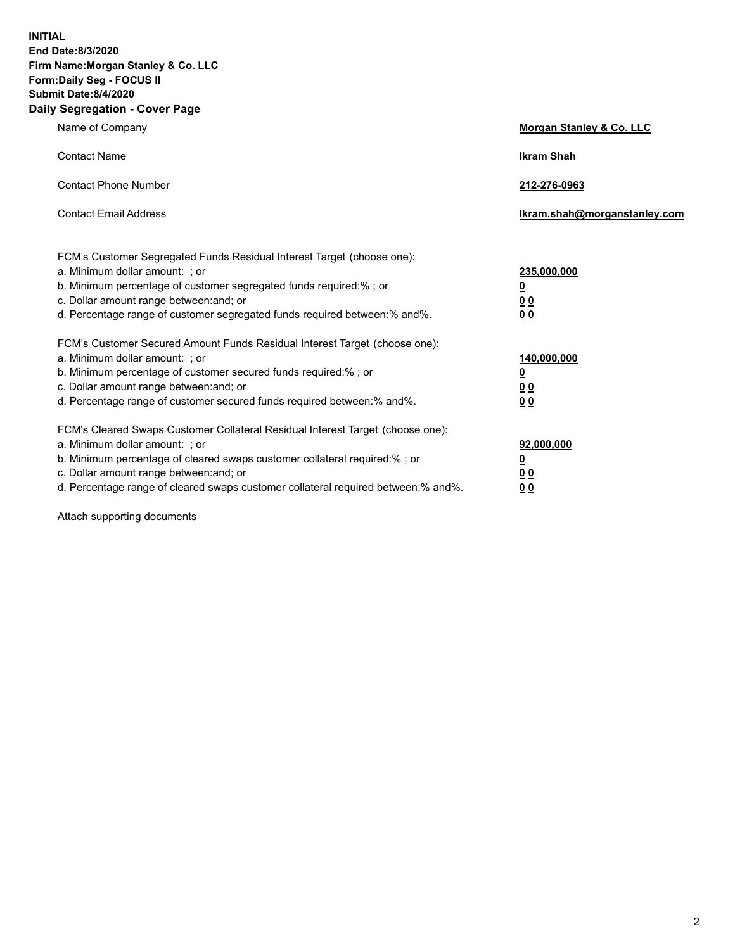**INITIAL End Date:8/3/2020 Firm Name:Morgan Stanley & Co. LLC Form:Daily Seg - FOCUS II Submit Date:8/4/2020 Daily Segregation - Cover Page**

| Name of Company                                                                                                       | Morgan Stanley & Co. LLC     |
|-----------------------------------------------------------------------------------------------------------------------|------------------------------|
| <b>Contact Name</b>                                                                                                   | <b>Ikram Shah</b>            |
| <b>Contact Phone Number</b>                                                                                           | 212-276-0963                 |
| <b>Contact Email Address</b>                                                                                          | lkram.shah@morganstanley.com |
| FCM's Customer Segregated Funds Residual Interest Target (choose one):<br>a. Minimum dollar amount: ; or              | 235,000,000                  |
| b. Minimum percentage of customer segregated funds required:% ; or<br>c. Dollar amount range between: and; or         | <u>0</u><br><u>00</u>        |
| d. Percentage range of customer segregated funds required between: % and %.                                           | 00                           |
| FCM's Customer Secured Amount Funds Residual Interest Target (choose one):                                            |                              |
| a. Minimum dollar amount: : or<br>b. Minimum percentage of customer secured funds required:%; or                      | 140,000,000<br><u>0</u>      |
| c. Dollar amount range between: and; or                                                                               | 0 <sub>0</sub>               |
| d. Percentage range of customer secured funds required between:% and%.                                                | 0 <sub>0</sub>               |
| FCM's Cleared Swaps Customer Collateral Residual Interest Target (choose one):                                        |                              |
| a. Minimum dollar amount: ; or                                                                                        | 92,000,000                   |
| b. Minimum percentage of cleared swaps customer collateral required:% ; or<br>c. Dollar amount range between: and; or | <u>0</u><br>0 Q              |
| d. Percentage range of cleared swaps customer collateral required between:% and%.                                     | 0 <sub>0</sub>               |
|                                                                                                                       |                              |

Attach supporting documents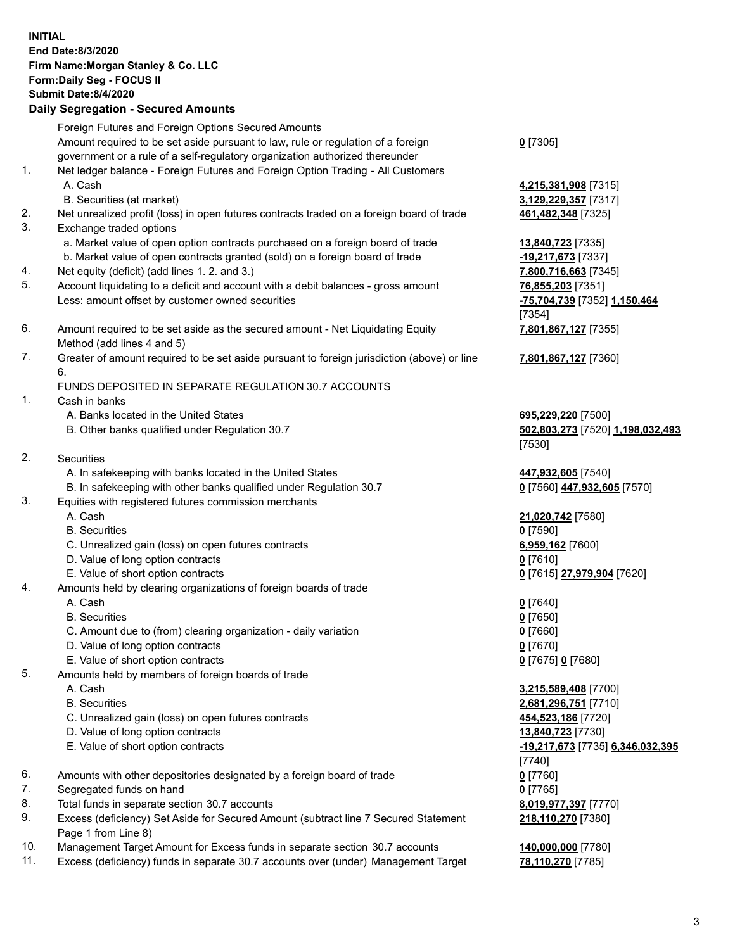|     | <b>INITIAL</b><br><b>End Date:8/3/2020</b><br>Firm Name: Morgan Stanley & Co. LLC<br>Form: Daily Seg - FOCUS II<br><b>Submit Date: 8/4/2020</b><br><b>Daily Segregation - Secured Amounts</b> |                                                   |
|-----|-----------------------------------------------------------------------------------------------------------------------------------------------------------------------------------------------|---------------------------------------------------|
|     | Foreign Futures and Foreign Options Secured Amounts                                                                                                                                           |                                                   |
|     | Amount required to be set aside pursuant to law, rule or regulation of a foreign                                                                                                              | $0$ [7305]                                        |
|     | government or a rule of a self-regulatory organization authorized thereunder                                                                                                                  |                                                   |
| 1.  | Net ledger balance - Foreign Futures and Foreign Option Trading - All Customers                                                                                                               |                                                   |
|     | A. Cash                                                                                                                                                                                       | 4,215,381,908 [7315]                              |
| 2.  | B. Securities (at market)                                                                                                                                                                     | 3,129,229,357 [7317]                              |
| 3.  | Net unrealized profit (loss) in open futures contracts traded on a foreign board of trade<br>Exchange traded options                                                                          | 461,482,348 [7325]                                |
|     | a. Market value of open option contracts purchased on a foreign board of trade                                                                                                                | 13,840,723 [7335]                                 |
|     | b. Market value of open contracts granted (sold) on a foreign board of trade                                                                                                                  | -19,217,673 [7337]                                |
| 4.  | Net equity (deficit) (add lines 1. 2. and 3.)                                                                                                                                                 | 7,800,716,663 [7345]                              |
| 5.  | Account liquidating to a deficit and account with a debit balances - gross amount                                                                                                             | 76,855,203 [7351]                                 |
|     | Less: amount offset by customer owned securities                                                                                                                                              | -75,704,739 [7352] 1,150,464                      |
|     |                                                                                                                                                                                               | [7354]                                            |
| 6.  | Amount required to be set aside as the secured amount - Net Liquidating Equity                                                                                                                | 7,801,867,127 [7355]                              |
| 7.  | Method (add lines 4 and 5)<br>Greater of amount required to be set aside pursuant to foreign jurisdiction (above) or line                                                                     |                                                   |
|     | 6.                                                                                                                                                                                            | 7,801,867,127 [7360]                              |
|     | FUNDS DEPOSITED IN SEPARATE REGULATION 30.7 ACCOUNTS                                                                                                                                          |                                                   |
| 1.  | Cash in banks                                                                                                                                                                                 |                                                   |
|     | A. Banks located in the United States                                                                                                                                                         | 695,229,220 [7500]                                |
|     | B. Other banks qualified under Regulation 30.7                                                                                                                                                | 502,803,273 [7520] 1,198,032,493                  |
|     |                                                                                                                                                                                               | [7530]                                            |
| 2.  | <b>Securities</b>                                                                                                                                                                             |                                                   |
|     | A. In safekeeping with banks located in the United States<br>B. In safekeeping with other banks qualified under Regulation 30.7                                                               | 447,932,605 [7540]<br>0 [7560] 447,932,605 [7570] |
| 3.  | Equities with registered futures commission merchants                                                                                                                                         |                                                   |
|     | A. Cash                                                                                                                                                                                       | 21,020,742 [7580]                                 |
|     | <b>B.</b> Securities                                                                                                                                                                          | $0$ [7590]                                        |
|     | C. Unrealized gain (loss) on open futures contracts                                                                                                                                           | 6,959,162 [7600]                                  |
|     | D. Value of long option contracts                                                                                                                                                             | $0$ [7610]                                        |
|     | E. Value of short option contracts                                                                                                                                                            | 0 [7615] 27,979,904 [7620]                        |
| 4.  | Amounts held by clearing organizations of foreign boards of trade                                                                                                                             |                                                   |
|     | A. Cash<br><b>B.</b> Securities                                                                                                                                                               | $0$ [7640]<br>$0$ [7650]                          |
|     | C. Amount due to (from) clearing organization - daily variation                                                                                                                               | $0$ [7660]                                        |
|     | D. Value of long option contracts                                                                                                                                                             | $0$ [7670]                                        |
|     | E. Value of short option contracts                                                                                                                                                            | 0 [7675] 0 [7680]                                 |
| 5.  | Amounts held by members of foreign boards of trade                                                                                                                                            |                                                   |
|     | A. Cash                                                                                                                                                                                       | 3,215,589,408 [7700]                              |
|     | <b>B.</b> Securities                                                                                                                                                                          | 2,681,296,751 [7710]                              |
|     | C. Unrealized gain (loss) on open futures contracts                                                                                                                                           | 454,523,186 [7720]                                |
|     | D. Value of long option contracts                                                                                                                                                             | 13,840,723 [7730]                                 |
|     | E. Value of short option contracts                                                                                                                                                            | -19,217,673 [7735] 6,346,032,395<br>[7740]        |
| 6.  | Amounts with other depositories designated by a foreign board of trade                                                                                                                        | $0$ [7760]                                        |
| 7.  | Segregated funds on hand                                                                                                                                                                      | $0$ [7765]                                        |
| 8.  | Total funds in separate section 30.7 accounts                                                                                                                                                 | 8,019,977,397 [7770]                              |
| 9.  | Excess (deficiency) Set Aside for Secured Amount (subtract line 7 Secured Statement                                                                                                           | 218,110,270 [7380]                                |
|     | Page 1 from Line 8)                                                                                                                                                                           |                                                   |
| 10. | Management Target Amount for Excess funds in separate section 30.7 accounts                                                                                                                   | 140,000,000 [7780]                                |

11. Excess (deficiency) funds in separate 30.7 accounts over (under) Management Target **78,110,270** [7785]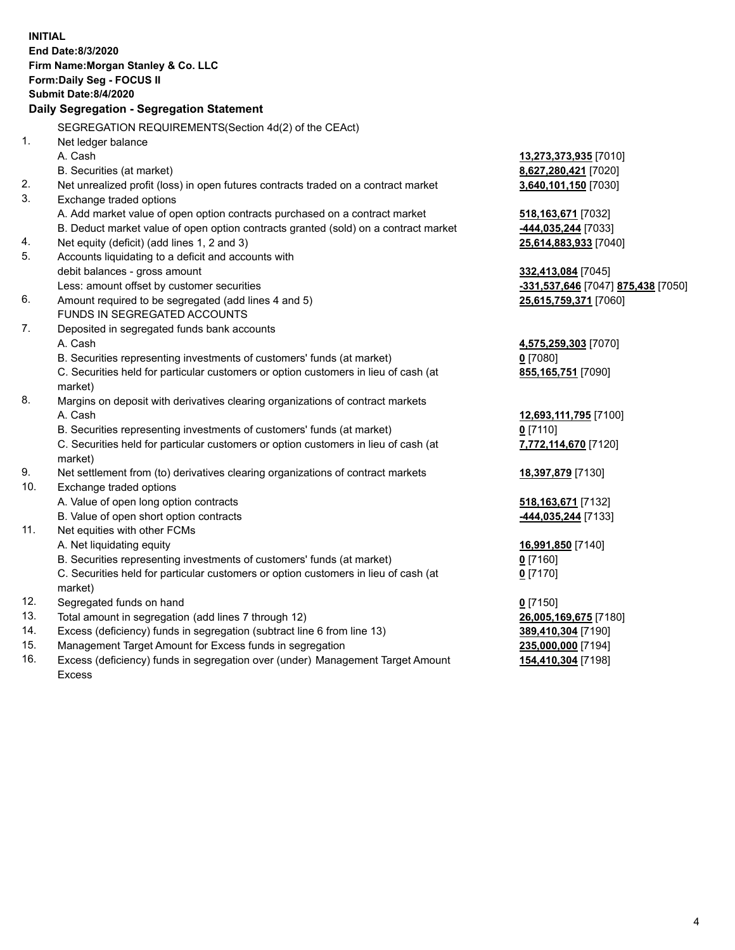|     | <b>INITIAL</b><br>End Date: 8/3/2020                                                           |                                                              |
|-----|------------------------------------------------------------------------------------------------|--------------------------------------------------------------|
|     | Firm Name: Morgan Stanley & Co. LLC                                                            |                                                              |
|     | Form: Daily Seg - FOCUS II                                                                     |                                                              |
|     | <b>Submit Date:8/4/2020</b>                                                                    |                                                              |
|     | Daily Segregation - Segregation Statement                                                      |                                                              |
|     | SEGREGATION REQUIREMENTS(Section 4d(2) of the CEAct)                                           |                                                              |
| 1.  | Net ledger balance                                                                             |                                                              |
|     | A. Cash                                                                                        | 13,273,373,935 [7010]                                        |
|     | B. Securities (at market)                                                                      | 8,627,280,421 [7020]                                         |
| 2.  | Net unrealized profit (loss) in open futures contracts traded on a contract market             | 3,640,101,150 [7030]                                         |
| 3.  | Exchange traded options                                                                        |                                                              |
|     | A. Add market value of open option contracts purchased on a contract market                    | 518, 163, 671 [7032]                                         |
|     | B. Deduct market value of open option contracts granted (sold) on a contract market            | -444,035,244 [7033]                                          |
| 4.  | Net equity (deficit) (add lines 1, 2 and 3)                                                    | 25,614,883,933 [7040]                                        |
| 5.  | Accounts liquidating to a deficit and accounts with                                            |                                                              |
|     | debit balances - gross amount                                                                  | 332,413,084 [7045]                                           |
|     | Less: amount offset by customer securities                                                     | <mark>-331,537,646</mark> [7047] <mark>875,438</mark> [7050] |
| 6.  | Amount required to be segregated (add lines 4 and 5)                                           | 25,615,759,371 [7060]                                        |
|     | FUNDS IN SEGREGATED ACCOUNTS                                                                   |                                                              |
| 7.  | Deposited in segregated funds bank accounts                                                    |                                                              |
|     | A. Cash                                                                                        | 4,575,259,303 [7070]                                         |
|     | B. Securities representing investments of customers' funds (at market)                         | $0$ [7080]                                                   |
|     | C. Securities held for particular customers or option customers in lieu of cash (at            | 855,165,751 [7090]                                           |
|     | market)                                                                                        |                                                              |
| 8.  | Margins on deposit with derivatives clearing organizations of contract markets                 |                                                              |
|     | A. Cash                                                                                        | 12,693,111,795 [7100]                                        |
|     | B. Securities representing investments of customers' funds (at market)                         | $0$ [7110]                                                   |
|     | C. Securities held for particular customers or option customers in lieu of cash (at<br>market) | 7,772,114,670 [7120]                                         |
| 9.  | Net settlement from (to) derivatives clearing organizations of contract markets                | 18,397,879 [7130]                                            |
| 10. | Exchange traded options                                                                        |                                                              |
|     | A. Value of open long option contracts                                                         | 518, 163, 671 [7132]                                         |
|     | B. Value of open short option contracts                                                        | -444,035,244 [7133]                                          |
| 11. | Net equities with other FCMs                                                                   |                                                              |
|     | A. Net liquidating equity                                                                      | 16,991,850 [7140]                                            |
|     | B. Securities representing investments of customers' funds (at market)                         | 0[7160]                                                      |
|     | C. Securities held for particular customers or option customers in lieu of cash (at            | $0$ [7170]                                                   |
| 12. | market)<br>Segregated funds on hand                                                            | $0$ [7150]                                                   |
| 13. | Total amount in segregation (add lines 7 through 12)                                           | 26,005,169,675 [7180]                                        |
| 14. | Excess (deficiency) funds in segregation (subtract line 6 from line 13)                        | 389,410,304 [7190]                                           |
| 15. | Management Target Amount for Excess funds in segregation                                       | 235,000,000 [7194]                                           |
| 16. | Excess (deficiency) funds in segregation over (under) Management Target Amount                 | 154,410,304 [7198]                                           |
|     |                                                                                                |                                                              |

Excess